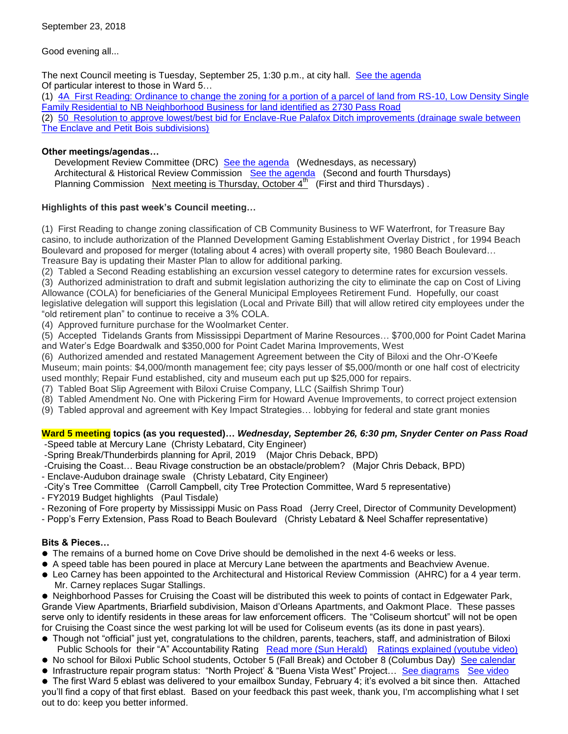Good evening all...

The next Council meeting is Tuesday, September 25, 1:30 p.m., at city hall. [See the agenda](https://www.biloxi.ms.us/agendas/citycouncil/2018/092518/092518agenda.pdf) Of particular interest to those in Ward 5… (1) [4A First Reading: Ordinance to change the zoning for a portion of a parcel of land from RS-10, Low Density Single](https://www.biloxi.ms.us/agendas/citycouncil/2018/092518/092518apc.pdf)  [Family Residential to NB Neighborhood Business for land identified as 2730 Pass Road](https://www.biloxi.ms.us/agendas/citycouncil/2018/092518/092518apc.pdf) (2) [50 Resolution to approve lowest/best bid for Enclave-Rue Palafox Ditch improvements \(drainage swale between](https://www.biloxi.ms.us/agendas/citycouncil/2018/092518/092518cpur.pdf)  [The Enclave and Petit Bois subdivisions\)](https://www.biloxi.ms.us/agendas/citycouncil/2018/092518/092518cpur.pdf)

## **Other meetings/agendas…**

Development Review Committee (DRC) [See the agenda](https://www.biloxi.ms.us/agendas/DRC/2018/DRC-2018-09-26.pdf) (Wednesdays, as necessary) Architectural & Historical Review Commission [See the agenda](https://www.biloxi.ms.us/agendas/AHRC/2018/AHRC-2018-09-27) (Second and fourth Thursdays) Planning Commission Next meeting is Thursday, October 4<sup>th</sup> (First and third Thursdays).

## **Highlights of this past week's Council meeting…**

(1) First Reading to change zoning classification of CB Community Business to WF Waterfront, for Treasure Bay casino, to include authorization of the Planned Development Gaming Establishment Overlay District , for 1994 Beach Boulevard and proposed for merger (totaling about 4 acres) with overall property site, 1980 Beach Boulevard… Treasure Bay is updating their Master Plan to allow for additional parking.

(2) Tabled a Second Reading establishing an excursion vessel category to determine rates for excursion vessels.

(3) Authorized administration to draft and submit legislation authorizing the city to eliminate the cap on Cost of Living Allowance (COLA) for beneficiaries of the General Municipal Employees Retirement Fund. Hopefully, our coast legislative delegation will support this legislation (Local and Private Bill) that will allow retired city employees under the "old retirement plan" to continue to receive a 3% COLA.

(4) Approved furniture purchase for the Woolmarket Center.

(5) Accepted Tidelands Grants from Mississippi Department of Marine Resources… \$700,000 for Point Cadet Marina and Water's Edge Boardwalk and \$350,000 for Point Cadet Marina Improvements, West

(6) Authorized amended and restated Management Agreement between the City of Biloxi and the Ohr-O'Keefe Museum; main points: \$4,000/month management fee; city pays lesser of \$5,000/month or one half cost of electricity used monthly; Repair Fund established, city and museum each put up \$25,000 for repairs.

(7) Tabled Boat Slip Agreement with Biloxi Cruise Company, LLC (Sailfish Shrimp Tour)

- (8) Tabled Amendment No. One with Pickering Firm for Howard Avenue Improvements, to correct project extension
- (9) Tabled approval and agreement with Key Impact Strategies… lobbying for federal and state grant monies

#### **Ward 5 meeting topics (as you requested)…** *Wednesday, September 26, 6:30 pm, Snyder Center on Pass Road* -Speed table at Mercury Lane (Christy Lebatard, City Engineer)

- -Spring Break/Thunderbirds planning for April, 2019 (Major Chris Deback, BPD)
- -Cruising the Coast… Beau Rivage construction be an obstacle/problem? (Major Chris Deback, BPD)
- Enclave-Audubon drainage swale (Christy Lebatard, City Engineer)
- -City's Tree Committee (Carroll Campbell, city Tree Protection Committee, Ward 5 representative)
- FY2019 Budget highlights (Paul Tisdale)
- Rezoning of Fore property by Mississippi Music on Pass Road (Jerry Creel, Director of Community Development)
- Popp's Ferry Extension, Pass Road to Beach Boulevard (Christy Lebatard & Neel Schaffer representative)

# **Bits & Pieces…**

- The remains of a burned home on Cove Drive should be demolished in the next 4-6 weeks or less.
- A speed table has been poured in place at Mercury Lane between the apartments and Beachview Avenue.
- Leo Carney has been appointed to the Architectural and Historical Review Commission (AHRC) for a 4 year term. Mr. Carney replaces Sugar Stallings.

Neighborhood Passes for Cruising the Coast will be distributed this week to points of contact in Edgewater Park, Grande View Apartments, Briarfield subdivision, Maison d'Orleans Apartments, and Oakmont Place. These passes serve only to identify residents in these areas for law enforcement officers. The "Coliseum shortcut" will not be open for Cruising the Coast since the west parking lot will be used for Coliseum events (as its done in past years).

- Though not "official" just yet, congratulations to the children, parents, teachers, staff, and administration of Biloxi Public Schools for their "A" Accountability Rating [Read more \(Sun Herald\)](https://www.sunherald.com/news/local/education/article218664825.html) [Ratings explained \(youtube video\)](https://www.youtube.com/watch?v=tzCeIz7V1So&t=15s)
- No school for Biloxi Public School students, October 5 (Fall Break) and October 8 (Columbus Day) [See calendar](https://www.biloxischools.net/cms/lib/MS01910473/Centricity/Domain/4/2018-19%20Proposed%20School%20Calendar.pdf)
- Infrastructure repair program status: "North Project' & "Buena Vista West" Project… [See diagrams](https://www.biloxi.ms.us/wp-content/uploads/2018/09/InfrastructureMaps092018.pdf) [See video](https://www.youtube.com/watch?v=UD6_Bt8awbM)

The first Ward 5 eblast was delivered to your emailbox Sunday, February 4; it's evolved a bit since then. Attached you'll find a copy of that first eblast. Based on your feedback this past week, thank you, I'm accomplishing what I set out to do: keep you better informed.